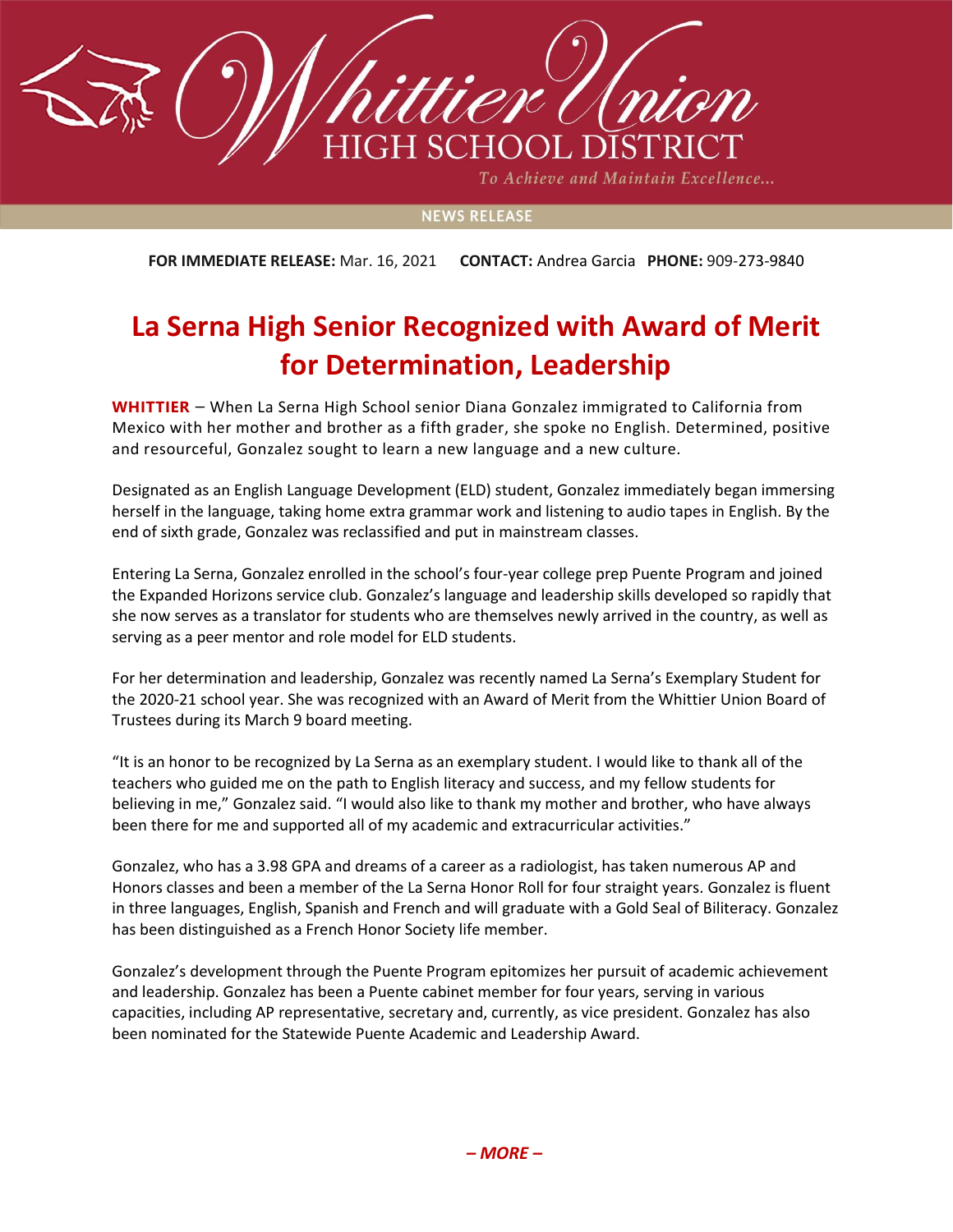

To Achieve and Maintain Excellence...

## **NEWS RELEASE**

**FOR IMMEDIATE RELEASE:** Mar. 16, 2021 **CONTACT:** Andrea Garcia **PHONE:** 909-273-9840

## **La Serna High Senior Recognized with Award of Merit for Determination, Leadership**

**WHITTIER** – When La Serna High School senior Diana Gonzalez immigrated to California from Mexico with her mother and brother as a fifth grader, she spoke no English. Determined, positive and resourceful, Gonzalez sought to learn a new language and a new culture.

Designated as an English Language Development (ELD) student, Gonzalez immediately began immersing herself in the language, taking home extra grammar work and listening to audio tapes in English. By the end of sixth grade, Gonzalez was reclassified and put in mainstream classes.

Entering La Serna, Gonzalez enrolled in the school's four-year college prep Puente Program and joined the Expanded Horizons service club. Gonzalez's language and leadership skills developed so rapidly that she now serves as a translator for students who are themselves newly arrived in the country, as well as serving as a peer mentor and role model for ELD students.

For her determination and leadership, Gonzalez was recently named La Serna's Exemplary Student for the 2020-21 school year. She was recognized with an Award of Merit from the Whittier Union Board of Trustees during its March 9 board meeting.

"It is an honor to be recognized by La Serna as an exemplary student. I would like to thank all of the teachers who guided me on the path to English literacy and success, and my fellow students for believing in me," Gonzalez said. "I would also like to thank my mother and brother, who have always been there for me and supported all of my academic and extracurricular activities."

Gonzalez, who has a 3.98 GPA and dreams of a career as a radiologist, has taken numerous AP and Honors classes and been a member of the La Serna Honor Roll for four straight years. Gonzalez is fluent in three languages, English, Spanish and French and will graduate with a Gold Seal of Biliteracy. Gonzalez has been distinguished as a French Honor Society life member.

Gonzalez's development through the Puente Program epitomizes her pursuit of academic achievement and leadership. Gonzalez has been a Puente cabinet member for four years, serving in various capacities, including AP representative, secretary and, currently, as vice president. Gonzalez has also been nominated for the Statewide Puente Academic and Leadership Award.